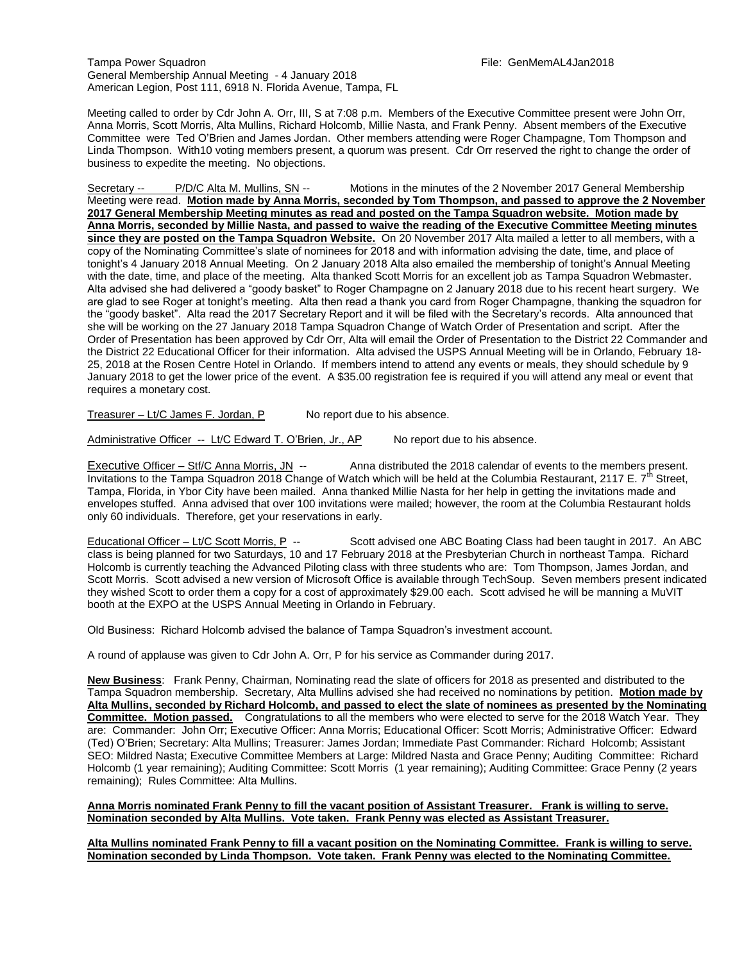Tampa Power Squadron File: GenMemAL4Jan2018 General Membership Annual Meeting - 4 January 2018 American Legion, Post 111, 6918 N. Florida Avenue, Tampa, FL

Meeting called to order by Cdr John A. Orr, III, S at 7:08 p.m. Members of the Executive Committee present were John Orr, Anna Morris, Scott Morris, Alta Mullins, Richard Holcomb, Millie Nasta, and Frank Penny. Absent members of the Executive Committee were Ted O'Brien and James Jordan. Other members attending were Roger Champagne, Tom Thompson and Linda Thompson. With10 voting members present, a quorum was present. Cdr Orr reserved the right to change the order of business to expedite the meeting. No objections.

Secretary -- P/D/C Alta M. Mullins, SN -- Motions in the minutes of the 2 November 2017 General Membership Meeting were read. **Motion made by Anna Morris, seconded by Tom Thompson, and passed to approve the 2 November 2017 General Membership Meeting minutes as read and posted on the Tampa Squadron website. Motion made by Anna Morris, seconded by Millie Nasta, and passed to waive the reading of the Executive Committee Meeting minutes since they are posted on the Tampa Squadron Website.** On 20 November 2017 Alta mailed a letter to all members, with a copy of the Nominating Committee's slate of nominees for 2018 and with information advising the date, time, and place of tonight's 4 January 2018 Annual Meeting. On 2 January 2018 Alta also emailed the membership of tonight's Annual Meeting with the date, time, and place of the meeting. Alta thanked Scott Morris for an excellent job as Tampa Squadron Webmaster. Alta advised she had delivered a "goody basket" to Roger Champagne on 2 January 2018 due to his recent heart surgery. We are glad to see Roger at tonight's meeting. Alta then read a thank you card from Roger Champagne, thanking the squadron for the "goody basket". Alta read the 2017 Secretary Report and it will be filed with the Secretary's records. Alta announced that she will be working on the 27 January 2018 Tampa Squadron Change of Watch Order of Presentation and script. After the Order of Presentation has been approved by Cdr Orr, Alta will email the Order of Presentation to the District 22 Commander and the District 22 Educational Officer for their information. Alta advised the USPS Annual Meeting will be in Orlando, February 18- 25, 2018 at the Rosen Centre Hotel in Orlando. If members intend to attend any events or meals, they should schedule by 9 January 2018 to get the lower price of the event. A \$35.00 registration fee is required if you will attend any meal or event that requires a monetary cost.

Treasurer – Lt/C James F. Jordan,  $P$  No report due to his absence.

Administrative Officer -- Lt/C Edward T. O'Brien, Jr., AP No report due to his absence.

Executive Officer – Stf/C Anna Morris, JN -- Anna distributed the 2018 calendar of events to the members present. Invitations to the Tampa Squadron 2018 Change of Watch which will be held at the Columbia Restaurant, 2117 E.  $7<sup>th</sup>$  Street, Tampa, Florida, in Ybor City have been mailed. Anna thanked Millie Nasta for her help in getting the invitations made and envelopes stuffed. Anna advised that over 100 invitations were mailed; however, the room at the Columbia Restaurant holds only 60 individuals. Therefore, get your reservations in early.

Educational Officer – Lt/C Scott Morris, P -- Scott advised one ABC Boating Class had been taught in 2017. An ABC class is being planned for two Saturdays, 10 and 17 February 2018 at the Presbyterian Church in northeast Tampa. Richard Holcomb is currently teaching the Advanced Piloting class with three students who are: Tom Thompson, James Jordan, and Scott Morris. Scott advised a new version of Microsoft Office is available through TechSoup. Seven members present indicated they wished Scott to order them a copy for a cost of approximately \$29.00 each. Scott advised he will be manning a MuVIT booth at the EXPO at the USPS Annual Meeting in Orlando in February.

Old Business: Richard Holcomb advised the balance of Tampa Squadron's investment account.

A round of applause was given to Cdr John A. Orr, P for his service as Commander during 2017.

**New Business**: Frank Penny, Chairman, Nominating read the slate of officers for 2018 as presented and distributed to the Tampa Squadron membership. Secretary, Alta Mullins advised she had received no nominations by petition. **Motion made by Alta Mullins, seconded by Richard Holcomb, and passed to elect the slate of nominees as presented by the Nominating Committee. Motion passed.** Congratulations to all the members who were elected to serve for the 2018 Watch Year. They are: Commander: John Orr; Executive Officer: Anna Morris; Educational Officer: Scott Morris; Administrative Officer: Edward (Ted) O'Brien; Secretary: Alta Mullins; Treasurer: James Jordan; Immediate Past Commander: Richard Holcomb; Assistant SEO: Mildred Nasta; Executive Committee Members at Large: Mildred Nasta and Grace Penny; Auditing Committee: Richard Holcomb (1 year remaining); Auditing Committee: Scott Morris (1 year remaining); Auditing Committee: Grace Penny (2 years remaining); Rules Committee: Alta Mullins.

## **Anna Morris nominated Frank Penny to fill the vacant position of Assistant Treasurer. Frank is willing to serve. Nomination seconded by Alta Mullins. Vote taken. Frank Penny was elected as Assistant Treasurer.**

**Alta Mullins nominated Frank Penny to fill a vacant position on the Nominating Committee. Frank is willing to serve. Nomination seconded by Linda Thompson. Vote taken. Frank Penny was elected to the Nominating Committee.**